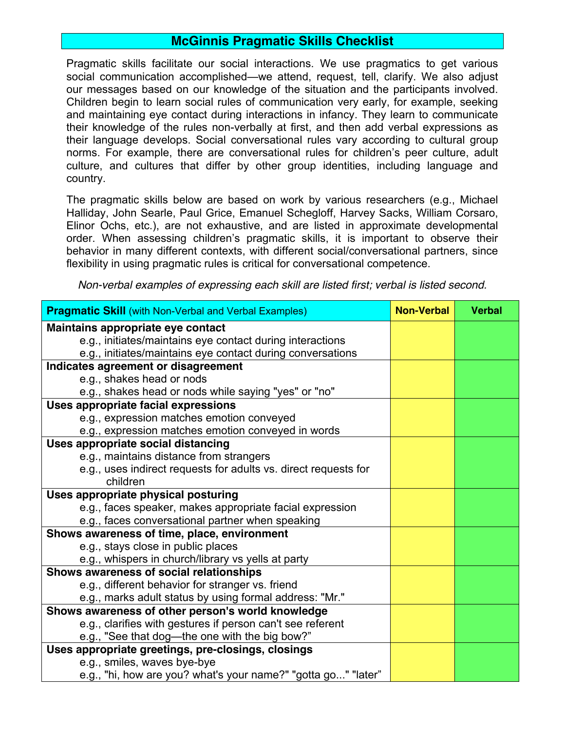## **McGinnis Pragmatic Skills Checklist**

Pragmatic skills facilitate our social interactions. We use pragmatics to get various social communication accomplished—we attend, request, tell, clarify. We also adjust our messages based on our knowledge of the situation and the participants involved. Children begin to learn social rules of communication very early, for example, seeking and maintaining eye contact during interactions in infancy. They learn to communicate their knowledge of the rules non-verbally at first, and then add verbal expressions as their language develops. Social conversational rules vary according to cultural group norms. For example, there are conversational rules for children's peer culture, adult culture, and cultures that differ by other group identities, including language and country.

The pragmatic skills below are based on work by various researchers (e.g., Michael Halliday, John Searle, Paul Grice, Emanuel Schegloff, Harvey Sacks, William Corsaro, Elinor Ochs, etc.), are not exhaustive, and are listed in approximate developmental order. When assessing children's pragmatic skills, it is important to observe their behavior in many different contexts, with different social/conversational partners, since flexibility in using pragmatic rules is critical for conversational competence.

*Non-verbal examples of expressing each skill are listed first; verbal is listed second.*

| <b>Pragmatic Skill</b> (with Non-Verbal and Verbal Examples)    | <b>Non-Verbal</b> | <b>Verbal</b> |
|-----------------------------------------------------------------|-------------------|---------------|
| Maintains appropriate eye contact                               |                   |               |
| e.g., initiates/maintains eye contact during interactions       |                   |               |
| e.g., initiates/maintains eye contact during conversations      |                   |               |
| Indicates agreement or disagreement                             |                   |               |
| e.g., shakes head or nods                                       |                   |               |
| e.g., shakes head or nods while saying "yes" or "no"            |                   |               |
| Uses appropriate facial expressions                             |                   |               |
| e.g., expression matches emotion conveyed                       |                   |               |
| e.g., expression matches emotion conveyed in words              |                   |               |
| Uses appropriate social distancing                              |                   |               |
| e.g., maintains distance from strangers                         |                   |               |
| e.g., uses indirect requests for adults vs. direct requests for |                   |               |
| children                                                        |                   |               |
| Uses appropriate physical posturing                             |                   |               |
| e.g., faces speaker, makes appropriate facial expression        |                   |               |
| e.g., faces conversational partner when speaking                |                   |               |
| Shows awareness of time, place, environment                     |                   |               |
| e.g., stays close in public places                              |                   |               |
| e.g., whispers in church/library vs yells at party              |                   |               |
| Shows awareness of social relationships                         |                   |               |
| e.g., different behavior for stranger vs. friend                |                   |               |
| e.g., marks adult status by using formal address: "Mr."         |                   |               |
| Shows awareness of other person's world knowledge               |                   |               |
| e.g., clarifies with gestures if person can't see referent      |                   |               |
| e.g., "See that dog—the one with the big bow?"                  |                   |               |
| Uses appropriate greetings, pre-closings, closings              |                   |               |
| e.g., smiles, waves bye-bye                                     |                   |               |
| e.g., "hi, how are you? what's your name?" "gotta go" "later"   |                   |               |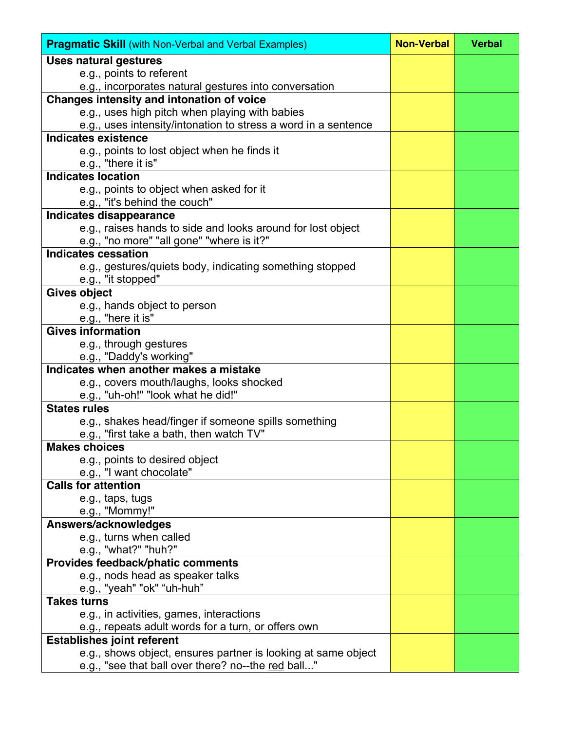| <b>Pragmatic Skill</b> (with Non-Verbal and Verbal Examples)   | <b>Non-Verbal</b> | <b>Verbal</b> |
|----------------------------------------------------------------|-------------------|---------------|
| <b>Uses natural gestures</b>                                   |                   |               |
| e.g., points to referent                                       |                   |               |
| e.g., incorporates natural gestures into conversation          |                   |               |
| Changes intensity and intonation of voice                      |                   |               |
| e.g., uses high pitch when playing with babies                 |                   |               |
| e.g., uses intensity/intonation to stress a word in a sentence |                   |               |
| <b>Indicates existence</b>                                     |                   |               |
| e.g., points to lost object when he finds it                   |                   |               |
| e.g., "there it is"                                            |                   |               |
| <b>Indicates location</b>                                      |                   |               |
| e.g., points to object when asked for it                       |                   |               |
| e.g., "it's behind the couch"                                  |                   |               |
| <b>Indicates disappearance</b>                                 |                   |               |
| e.g., raises hands to side and looks around for lost object    |                   |               |
| e.g., "no more" "all gone" "where is it?"                      |                   |               |
| <b>Indicates cessation</b>                                     |                   |               |
| e.g., gestures/quiets body, indicating something stopped       |                   |               |
| e.g., "it stopped"                                             |                   |               |
| <b>Gives object</b>                                            |                   |               |
| e.g., hands object to person                                   |                   |               |
| e.g., "here it is"                                             |                   |               |
| <b>Gives information</b>                                       |                   |               |
| e.g., through gestures                                         |                   |               |
| e.g., "Daddy's working"                                        |                   |               |
| Indicates when another makes a mistake                         |                   |               |
| e.g., covers mouth/laughs, looks shocked                       |                   |               |
| e.g., "uh-oh!" "look what he did!"                             |                   |               |
| <b>States rules</b>                                            |                   |               |
| e.g., shakes head/finger if someone spills something           |                   |               |
| e.g., "first take a bath, then watch TV"                       |                   |               |
| <b>Makes choices</b>                                           |                   |               |
| e.g., points to desired object                                 |                   |               |
| e.g., "I want chocolate"                                       |                   |               |
| <b>Calls for attention</b>                                     |                   |               |
| e.g., taps, tugs                                               |                   |               |
| e.g., "Mommy!"                                                 |                   |               |
| Answers/acknowledges                                           |                   |               |
| e.g., turns when called                                        |                   |               |
| e.g., "what?" "huh?"                                           |                   |               |
| Provides feedback/phatic comments                              |                   |               |
| e.g., nods head as speaker talks                               |                   |               |
| e.g., "yeah" "ok" "uh-huh"                                     |                   |               |
| <b>Takes turns</b>                                             |                   |               |
| e.g., in activities, games, interactions                       |                   |               |
| e.g., repeats adult words for a turn, or offers own            |                   |               |
| <b>Establishes joint referent</b>                              |                   |               |
| e.g., shows object, ensures partner is looking at same object  |                   |               |
| e.g., "see that ball over there? no--the red ball"             |                   |               |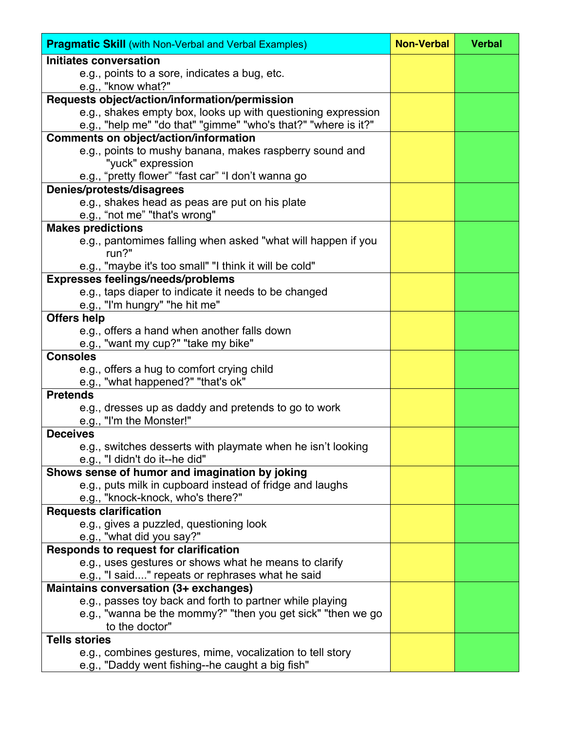| <b>Pragmatic Skill</b> (with Non-Verbal and Verbal Examples)   | <b>Non-Verbal</b> | <b>Verbal</b> |
|----------------------------------------------------------------|-------------------|---------------|
| Initiates conversation                                         |                   |               |
| e.g., points to a sore, indicates a bug, etc.                  |                   |               |
| e.g., "know what?"                                             |                   |               |
| Requests object/action/information/permission                  |                   |               |
| e.g., shakes empty box, looks up with questioning expression   |                   |               |
| e.g., "help me" "do that" "gimme" "who's that?" "where is it?" |                   |               |
| <b>Comments on object/action/information</b>                   |                   |               |
| e.g., points to mushy banana, makes raspberry sound and        |                   |               |
| "yuck" expression                                              |                   |               |
| e.g., "pretty flower" "fast car" "I don't wanna go             |                   |               |
| Denies/protests/disagrees                                      |                   |               |
| e.g., shakes head as peas are put on his plate                 |                   |               |
| e.g., "not me" "that's wrong"                                  |                   |               |
| <b>Makes predictions</b>                                       |                   |               |
| e.g., pantomimes falling when asked "what will happen if you   |                   |               |
| run?"                                                          |                   |               |
| e.g., "maybe it's too small" "I think it will be cold"         |                   |               |
| <b>Expresses feelings/needs/problems</b>                       |                   |               |
| e.g., taps diaper to indicate it needs to be changed           |                   |               |
| e.g., "I'm hungry" "he hit me"                                 |                   |               |
| <b>Offers help</b>                                             |                   |               |
| e.g., offers a hand when another falls down                    |                   |               |
| e.g., "want my cup?" "take my bike"                            |                   |               |
| <b>Consoles</b>                                                |                   |               |
| e.g., offers a hug to comfort crying child                     |                   |               |
| e.g., "what happened?" "that's ok"                             |                   |               |
| <b>Pretends</b>                                                |                   |               |
| e.g., dresses up as daddy and pretends to go to work           |                   |               |
| e.g., "I'm the Monster!"                                       |                   |               |
| <b>Deceives</b>                                                |                   |               |
| e.g., switches desserts with playmate when he isn't looking    |                   |               |
| e.g., "I didn't do it--he did"                                 |                   |               |
| Shows sense of humor and imagination by joking                 |                   |               |
| e.g., puts milk in cupboard instead of fridge and laughs       |                   |               |
| e.g., "knock-knock, who's there?"                              |                   |               |
| <b>Requests clarification</b>                                  |                   |               |
| e.g., gives a puzzled, questioning look                        |                   |               |
| e.g., "what did you say?"                                      |                   |               |
| Responds to request for clarification                          |                   |               |
| e.g., uses gestures or shows what he means to clarify          |                   |               |
| e.g., "I said" repeats or rephrases what he said               |                   |               |
| Maintains conversation (3+ exchanges)                          |                   |               |
| e.g., passes toy back and forth to partner while playing       |                   |               |
| e.g., "wanna be the mommy?" "then you get sick" "then we go    |                   |               |
| to the doctor"                                                 |                   |               |
| <b>Tells stories</b>                                           |                   |               |
| e.g., combines gestures, mime, vocalization to tell story      |                   |               |
| e.g., "Daddy went fishing--he caught a big fish"               |                   |               |